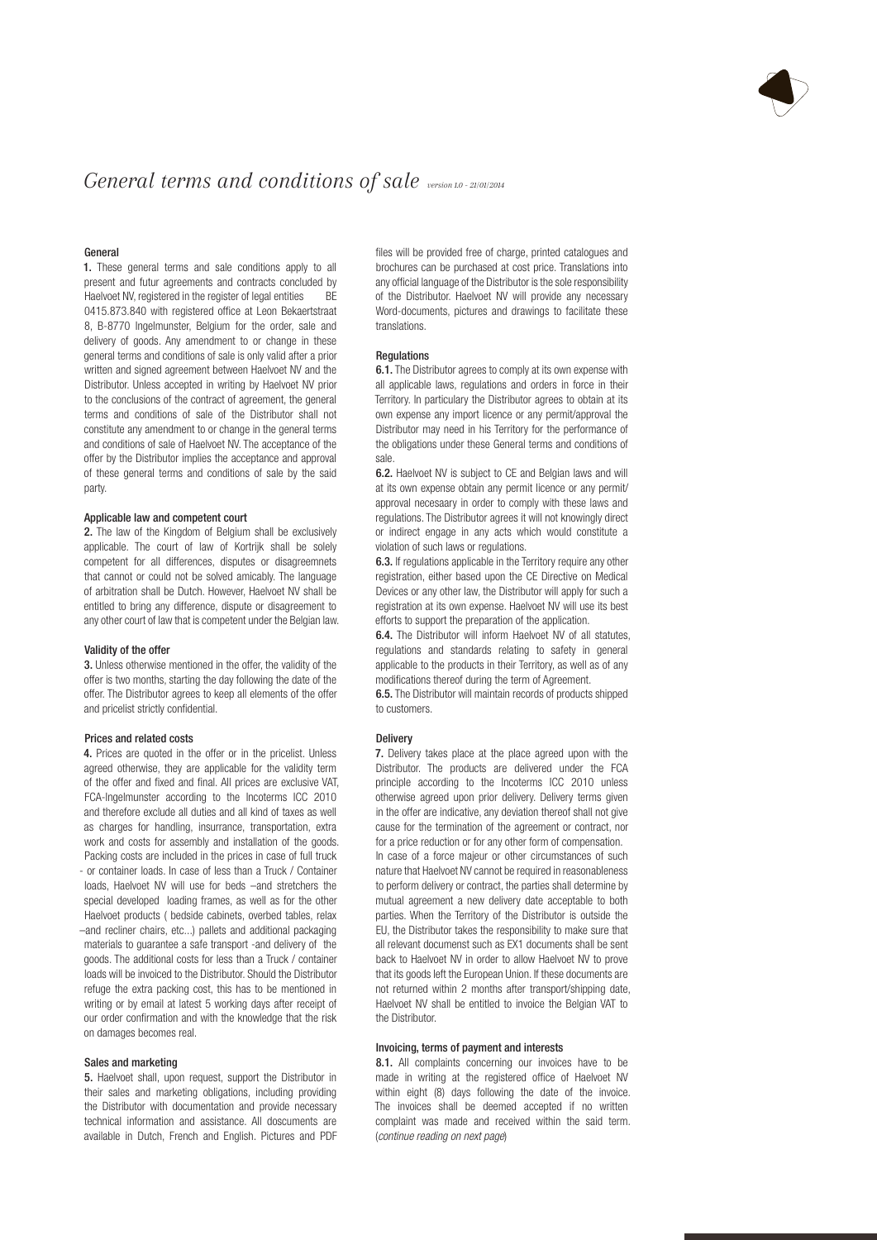

# *General terms and conditions of sale version 1.0 - 21/01/2014*

# General

1. These general terms and sale conditions apply to all present and futur agreements and contracts concluded by Haelvoet NV, registered in the register of legal entities BE 0415.873.840 with registered office at Leon Bekaertstraat 8, B-8770 Ingelmunster, Belgium for the order, sale and delivery of goods. Any amendment to or change in these general terms and conditions of sale is only valid after a prior written and signed agreement between Haelvoet NV and the Distributor. Unless accepted in writing by Haelvoet NV prior to the conclusions of the contract of agreement, the general terms and conditions of sale of the Distributor shall not constitute any amendment to or change in the general terms and conditions of sale of Haelvoet NV. The acceptance of the offer by the Distributor implies the acceptance and approval of these general terms and conditions of sale by the said party.

#### Applicable law and competent court

2. The law of the Kingdom of Belgium shall be exclusively applicable. The court of law of Kortrijk shall be solely competent for all differences, disputes or disagreemnets that cannot or could not be solved amicably. The language of arbitration shall be Dutch. However, Haelvoet NV shall be entitled to bring any difference, dispute or disagreement to any other court of law that is competent under the Belgian law.

#### Validity of the offer

3. Unless otherwise mentioned in the offer, the validity of the offer is two months, starting the day following the date of the offer. The Distributor agrees to keep all elements of the offer and pricelist strictly confidential.

#### Prices and related costs

4. Prices are quoted in the offer or in the pricelist. Unless agreed otherwise, they are applicable for the validity term of the offer and fixed and final. All prices are exclusive VAT, FCA-Ingelmunster according to the Incoterms ICC 2010 and therefore exclude all duties and all kind of taxes as well as charges for handling, insurrance, transportation, extra work and costs for assembly and installation of the goods. Packing costs are included in the prices in case of full truck - or container loads. In case of less than a Truck / Container loads, Haelvoet NV will use for beds –and stretchers the special developed loading frames, as well as for the other Haelvoet products ( bedside cabinets, overbed tables, relax –and recliner chairs, etc...) pallets and additional packaging materials to guarantee a safe transport -and delivery of the goods. The additional costs for less than a Truck / container loads will be invoiced to the Distributor. Should the Distributor refuge the extra packing cost, this has to be mentioned in writing or by email at latest 5 working days after receipt of our order confirmation and with the knowledge that the risk on damages becomes real.

## Sales and marketing

5. Haelvoet shall, upon request, support the Distributor in their sales and marketing obligations, including providing the Distributor with documentation and provide necessary technical information and assistance. All doscuments are available in Dutch, French and English. Pictures and PDF files will be provided free of charge, printed catalogues and brochures can be purchased at cost price. Translations into any official language of the Distributor is the sole responsibility of the Distributor. Haelvoet NV will provide any necessary Word-documents, pictures and drawings to facilitate these translations.

# Regulations

6.1. The Distributor agrees to comply at its own expense with all applicable laws, regulations and orders in force in their Territory. In particulary the Distributor agrees to obtain at its own expense any import licence or any permit/approval the Distributor may need in his Territory for the performance of the obligations under these General terms and conditions of sale.

6.2. Haelvoet NV is subject to CE and Belgian laws and will at its own expense obtain any permit licence or any permit/ approval necesaary in order to comply with these laws and regulations. The Distributor agrees it will not knowingly direct or indirect engage in any acts which would constitute a violation of such laws or regulations.

6.3. If regulations applicable in the Territory require any other registration, either based upon the CE Directive on Medical Devices or any other law, the Distributor will apply for such a registration at its own expense. Haelvoet NV will use its best efforts to support the preparation of the application.

6.4. The Distributor will inform Haelvoet NV of all statutes, regulations and standards relating to safety in general applicable to the products in their Territory, as well as of any modifications thereof during the term of Agreement.

6.5. The Distributor will maintain records of products shipped to customers.

# Delivery

7. Delivery takes place at the place agreed upon with the Distributor. The products are delivered under the FCA principle according to the Incoterms ICC 2010 unless otherwise agreed upon prior delivery. Delivery terms given in the offer are indicative, any deviation thereof shall not give cause for the termination of the agreement or contract, nor for a price reduction or for any other form of compensation. In case of a force majeur or other circumstances of such nature that Haelvoet NV cannot be required in reasonableness to perform delivery or contract, the parties shall determine by mutual agreement a new delivery date acceptable to both parties. When the Territory of the Distributor is outside the EU, the Distributor takes the responsibility to make sure that all relevant documenst such as EX1 documents shall be sent back to Haelvoet NV in order to allow Haelvoet NV to prove that its goods left the European Union. If these documents are not returned within 2 months after transport/shipping date, Haelvoet NV shall be entitled to invoice the Belgian VAT to the Distributor.

#### Invoicing, terms of payment and interests

8.1. All complaints concerning our invoices have to be made in writing at the registered office of Haelvoet NV within eight (8) days following the date of the invoice. The invoices shall be deemed accepted if no written complaint was made and received within the said term. (*continue reading on next page*)